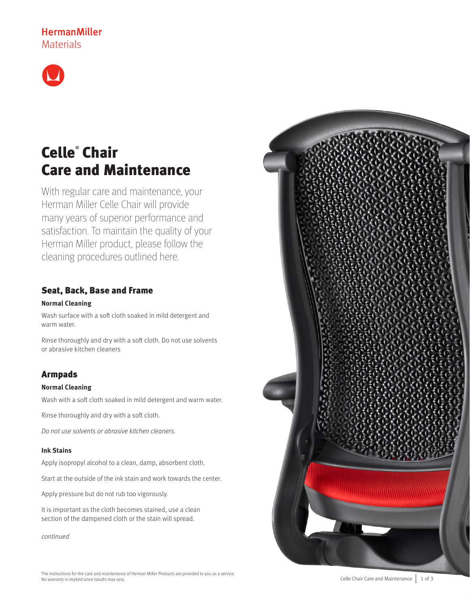# **HermanMiller** Materials



# Celle® Chair Care and Maintenance

With regular care and maintenance, your Herman Miller Celle Chair will provide many years of superior performance and satisfaction. To maintain the quality of your Herman Miller product, please follow the cleaning procedures outlined here.

# Seat, Back, Base and Frame

### **Normal Cleaning**

Wash surface with a soft cloth soaked in mild detergent and warm water.

Rinse thoroughly and dry with a soft cloth. Do not use solvents or abrasive kitchen cleaners

# Armpads

### **Normal Cleaning**

Wash with a soft cloth soaked in mild detergent and warm water.

Rinse thoroughly and dry with a soft cloth.

Do not use solvents or abrasive kitchen cleaners.

### **Ink Stains**

Apply isopropyl alcohol to a clean, damp, absorbent cloth.

Start at the outside of the ink stain and work towards the center.

Apply pressure but do not rub too vigorously.

It is important as the cloth becomes stained, use a clean section of the dampened cloth or the stain will spread.

continued

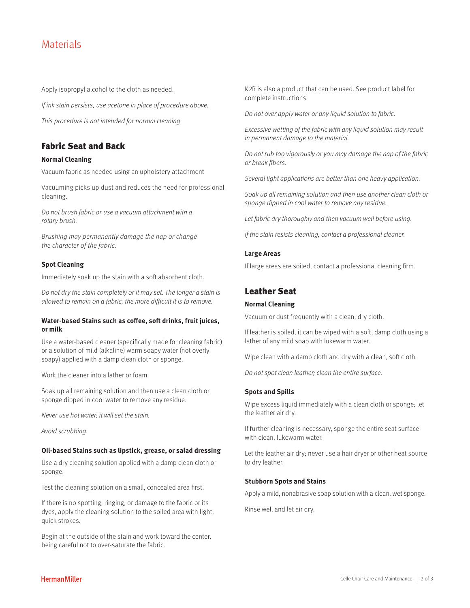# **Materials**

Apply isopropyl alcohol to the cloth as needed.

If ink stain persists, use acetone in place of procedure above.

This procedure is not intended for normal cleaning.

### Fabric Seat and Back

#### **Normal Cleaning**

Vacuum fabric as needed using an upholstery attachment

Vacuuming picks up dust and reduces the need for professional cleaning.

Do not brush fabric or use a vacuum attachment with a rotary brush.

Brushing may permanently damage the nap or change the character of the fabric.

#### **Spot Cleaning**

Immediately soak up the stain with a soft absorbent cloth.

Do not dry the stain completely or it may set. The longer a stain is allowed to remain on a fabric, the more difficult it is to remove.

#### **Water-based Stains such as coffee, soft drinks, fruit juices, or milk**

Use a water-based cleaner (specifically made for cleaning fabric) or a solution of mild (alkaline) warm soapy water (not overly soapy) applied with a damp clean cloth or sponge.

Work the cleaner into a lather or foam.

Soak up all remaining solution and then use a clean cloth or sponge dipped in cool water to remove any residue.

Never use hot water; it will set the stain.

Avoid scrubbing.

#### **Oil-based Stains such as lipstick, grease, or salad dressing**

Use a dry cleaning solution applied with a damp clean cloth or sponge.

Test the cleaning solution on a small, concealed area first.

If there is no spotting, ringing, or damage to the fabric or its dyes, apply the cleaning solution to the soiled area with light, quick strokes.

Begin at the outside of the stain and work toward the center, being careful not to over-saturate the fabric.

K2R is also a product that can be used. See product label for complete instructions.

Do not over apply water or any liquid solution to fabric.

Excessive wetting of the fabric with any liquid solution may result in permanent damage to the material.

Do not rub too vigorously or you may damage the nap of the fabric or break fibers.

Several light applications are better than one heavy application.

Soak up all remaining solution and then use another clean cloth or sponge dipped in cool water to remove any residue.

Let fabric dry thoroughly and then vacuum well before using.

If the stain resists cleaning, contact a professional cleaner.

#### **Large Areas**

If large areas are soiled, contact a professional cleaning firm.

### Leather Seat

### **Normal Cleaning**

Vacuum or dust frequently with a clean, dry cloth.

If leather is soiled, it can be wiped with a soft, damp cloth using a lather of any mild soap with lukewarm water.

Wipe clean with a damp cloth and dry with a clean, soft cloth.

Do not spot clean leather; clean the entire surface.

### **Spots and Spills**

Wipe excess liquid immediately with a clean cloth or sponge; let the leather air dry.

If further cleaning is necessary, sponge the entire seat surface with clean, lukewarm water.

Let the leather air dry; never use a hair dryer or other heat source to dry leather.

#### **Stubborn Spots and Stains**

Apply a mild, nonabrasive soap solution with a clean, wet sponge.

Rinse well and let air dry.